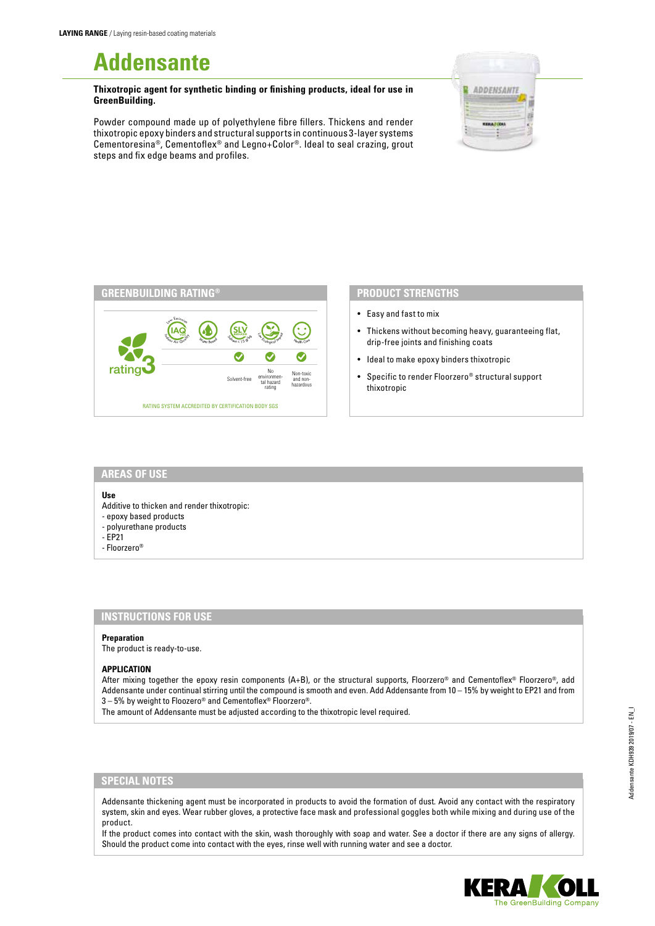# **Addensante**

**Thixotropic agent for synthetic binding or finishing products, ideal for use in GreenBuilding.**

Powder compound made up of polyethylene fibre fillers. Thickens and render thixotropic epoxy binders and structural supports in continuous 3-layer systems Cementoresina®, Cementoflex® and Legno+Color®. Ideal to seal crazing, grout steps and fix edge beams and profiles.





## **PRODUCT STRENGTHS**

- Easy and fast to mix
- Thickens without becoming heavy, guaranteeing flat, drip-free joints and finishing coats
- Ideal to make epoxy binders thixotropic
- Specific to render Floorzero® structural support thixotropic

## **AREAS OF USE**

#### **Use**

- Additive to thicken and render thixotropic:
- epoxy based products
- polyurethane products
- EP21
- Floorzero®

# **INSTRUCTIONS FOR USE**

#### **Preparation**

The product is ready-to-use.

#### **APPLICATION**

After mixing together the epoxy resin components (A+B), or the structural supports, Floorzero® and Cementoflex® Floorzero®, add Addensante under continual stirring until the compound is smooth and even. Add Addensante from 10 – 15% by weight to EP21 and from 3 – 5% by weight to Floozero® and Cementoflex® Floorzero®.

The amount of Addensante must be adjusted according to the thixotropic level required.

### **SPECIAL NOTES**

Addensante thickening agent must be incorporated in products to avoid the formation of dust. Avoid any contact with the respiratory system, skin and eyes. Wear rubber gloves, a protective face mask and professional goggles both while mixing and during use of the product.

If the product comes into contact with the skin, wash thoroughly with soap and water. See a doctor if there are any signs of allergy. Should the product come into contact with the eyes, rinse well with running water and see a doctor.